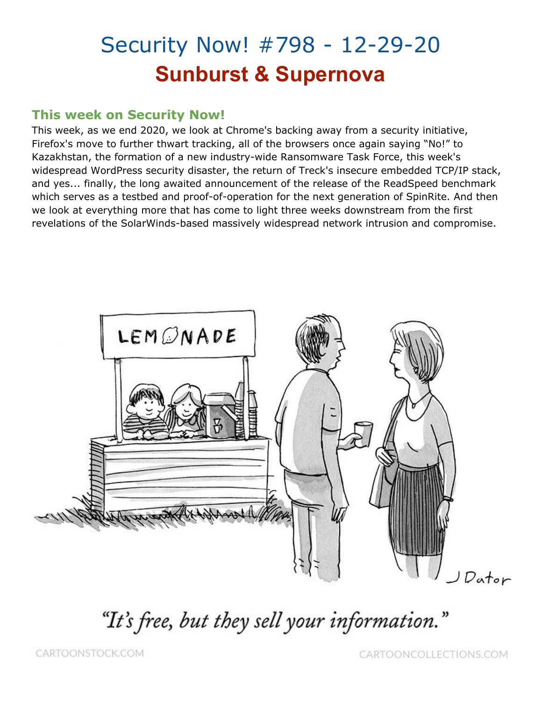## Security Now! #798 - 12-29-20 **Sunburst & Supernova**

### **This week on Security Now!**

This week, as we end 2020, we look at Chrome's backing away from a security initiative, Firefox's move to further thwart tracking, all of the browsers once again saying "No!" to Kazakhstan, the formation of a new industry-wide Ransomware Task Force, this week's widespread WordPress security disaster, the return of Treck's insecure embedded TCP/IP stack, and yes... finally, the long awaited announcement of the release of the ReadSpeed benchmark which serves as a testbed and proof-of-operation for the next generation of SpinRite. And then we look at everything more that has come to light three weeks downstream from the first revelations of the SolarWinds-based massively widespread network intrusion and compromise.



"It's free, but they sell your information."

CARTOONCOLLECTIONS.COM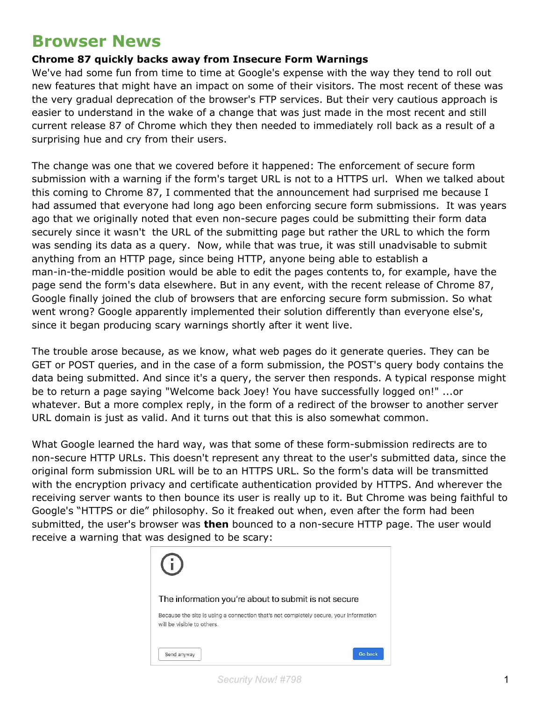### **Browser News**

#### **Chrome 87 quickly backs away from Insecure Form Warnings**

We've had some fun from time to time at Google's expense with the way they tend to roll out new features that might have an impact on some of their visitors. The most recent of these was the very gradual deprecation of the browser's FTP services. But their very cautious approach is easier to understand in the wake of a change that was just made in the most recent and still current release 87 of Chrome which they then needed to immediately roll back as a result of a surprising hue and cry from their users.

The change was one that we covered before it happened: The enforcement of secure form submission with a warning if the form's target URL is not to a HTTPS url. When we talked about this coming to Chrome 87, I commented that the announcement had surprised me because I had assumed that everyone had long ago been enforcing secure form submissions. It was years ago that we originally noted that even non-secure pages could be submitting their form data securely since it wasn't the URL of the submitting page but rather the URL to which the form was sending its data as a query. Now, while that was true, it was still unadvisable to submit anything from an HTTP page, since being HTTP, anyone being able to establish a man-in-the-middle position would be able to edit the pages contents to, for example, have the page send the form's data elsewhere. But in any event, with the recent release of Chrome 87, Google finally joined the club of browsers that are enforcing secure form submission. So what went wrong? Google apparently implemented their solution differently than everyone else's, since it began producing scary warnings shortly after it went live.

The trouble arose because, as we know, what web pages do it generate queries. They can be GET or POST queries, and in the case of a form submission, the POST's query body contains the data being submitted. And since it's a query, the server then responds. A typical response might be to return a page saying "Welcome back Joey! You have successfully logged on!" ...or whatever. But a more complex reply, in the form of a redirect of the browser to another server URL domain is just as valid. And it turns out that this is also somewhat common.

What Google learned the hard way, was that some of these form-submission redirects are to non-secure HTTP URLs. This doesn't represent any threat to the user's submitted data, since the original form submission URL will be to an HTTPS URL. So the form's data will be transmitted with the encryption privacy and certificate authentication provided by HTTPS. And wherever the receiving server wants to then bounce its user is really up to it. But Chrome was being faithful to Google's "HTTPS or die" philosophy. So it freaked out when, even after the form had been submitted, the user's browser was **then** bounced to a non-secure HTTP page. The user would receive a warning that was designed to be scary:

| $\langle \cdot   \cdot \rangle$                                                                                     |  |
|---------------------------------------------------------------------------------------------------------------------|--|
| The information you're about to submit is not secure                                                                |  |
| Because the site is using a connection that's not completely secure, your information<br>will be visible to others. |  |
| Go back<br>Send anyway                                                                                              |  |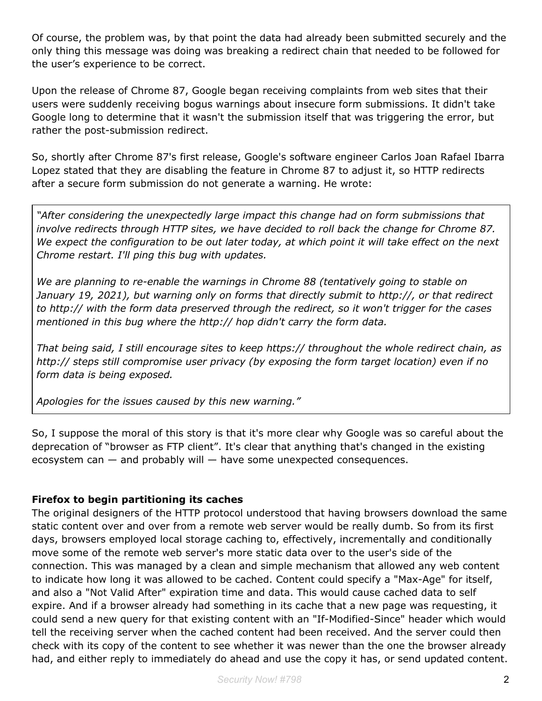Of course, the problem was, by that point the data had already been submitted securely and the only thing this message was doing was breaking a redirect chain that needed to be followed for the user's experience to be correct.

Upon the release of Chrome 87, Google began receiving complaints from web sites that their users were suddenly receiving bogus warnings about insecure form submissions. It didn't take Google long to determine that it wasn't the submission itself that was triggering the error, but rather the post-submission redirect.

So, shortly after Chrome 87's first release, Google's software engineer Carlos Joan Rafael Ibarra Lopez stated that they are disabling the feature in Chrome 87 to adjust it, so HTTP redirects after a secure form submission do not generate a warning. He wrote:

*"After considering the unexpectedly large impact this change had on form submissions that involve redirects through HTTP sites, we have decided to roll back the change for Chrome 87.* We expect the configuration to be out later today, at which point it will take effect on the next *Chrome restart. I'll ping this bug with updates.*

*We are planning to re-enable the warnings in Chrome 88 (tentatively going to stable on January 19, 2021), but warning only on forms that directly submit to http://, or that redirect to http:// with the form data preserved through the redirect, so it won't trigger for the cases mentioned in this bug where the http:// hop didn't carry the form data.*

*That being said, I still encourage sites to keep https:// throughout the whole redirect chain, as http:// steps still compromise user privacy (by exposing the form target location) even if no form data is being exposed.*

*Apologies for the issues caused by this new warning."*

So, I suppose the moral of this story is that it's more clear why Google was so careful about the deprecation of "browser as FTP client". It's clear that anything that's changed in the existing ecosystem can  $-$  and probably will  $-$  have some unexpected consequences.

### **Firefox to begin partitioning its caches**

The original designers of the HTTP protocol understood that having browsers download the same static content over and over from a remote web server would be really dumb. So from its first days, browsers employed local storage caching to, effectively, incrementally and conditionally move some of the remote web server's more static data over to the user's side of the connection. This was managed by a clean and simple mechanism that allowed any web content to indicate how long it was allowed to be cached. Content could specify a "Max-Age" for itself, and also a "Not Valid After" expiration time and data. This would cause cached data to self expire. And if a browser already had something in its cache that a new page was requesting, it could send a new query for that existing content with an "If-Modified-Since" header which would tell the receiving server when the cached content had been received. And the server could then check with its copy of the content to see whether it was newer than the one the browser already had, and either reply to immediately do ahead and use the copy it has, or send updated content.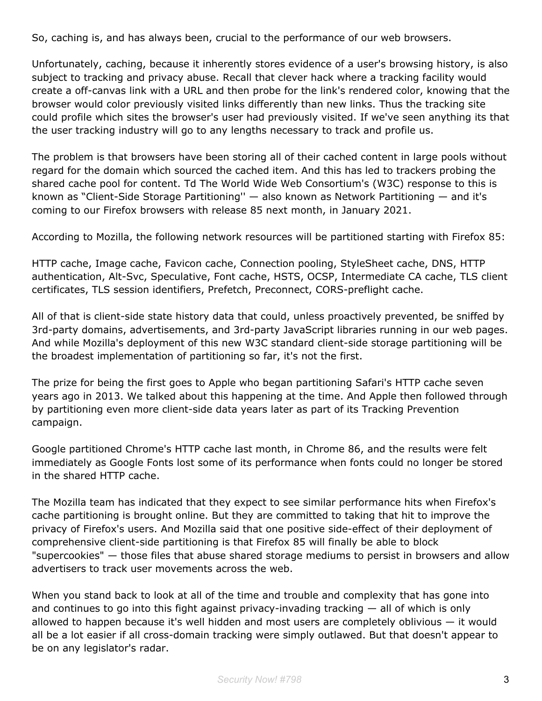So, caching is, and has always been, crucial to the performance of our web browsers.

Unfortunately, caching, because it inherently stores evidence of a user's browsing history, is also subject to tracking and privacy abuse. Recall that clever hack where a tracking facility would create a off-canvas link with a URL and then probe for the link's rendered color, knowing that the browser would color previously visited links differently than new links. Thus the tracking site could profile which sites the browser's user had previously visited. If we've seen anything its that the user tracking industry will go to any lengths necessary to track and profile us.

The problem is that browsers have been storing all of their cached content in large pools without regard for the domain which sourced the cached item. And this has led to trackers probing the shared cache pool for content. Td The World Wide Web Consortium's (W3C) response to this is known as "Client-Side Storage Partitioning'' — also known as Network Partitioning — and it's coming to our Firefox browsers with release 85 next month, in January 2021.

According to Mozilla, the following network resources will be partitioned starting with Firefox 85:

HTTP cache, Image cache, Favicon cache, Connection pooling, StyleSheet cache, DNS, HTTP authentication, Alt-Svc, Speculative, Font cache, HSTS, OCSP, Intermediate CA cache, TLS client certificates, TLS session identifiers, Prefetch, Preconnect, CORS-preflight cache.

All of that is client-side state history data that could, unless proactively prevented, be sniffed by 3rd-party domains, advertisements, and 3rd-party JavaScript libraries running in our web pages. And while Mozilla's deployment of this new W3C standard client-side storage partitioning will be the broadest implementation of partitioning so far, it's not the first.

The prize for being the first goes to Apple who began partitioning Safari's HTTP cache seven years ago in 2013. We talked about this happening at the time. And Apple then followed through by partitioning even more client-side data years later as part of its Tracking Prevention campaign.

Google partitioned Chrome's HTTP cache last month, in Chrome 86, and the results were felt immediately as Google Fonts lost some of its performance when fonts could no longer be stored in the shared HTTP cache.

The Mozilla team has indicated that they expect to see similar performance hits when Firefox's cache partitioning is brought online. But they are committed to taking that hit to improve the privacy of Firefox's users. And Mozilla said that one positive side-effect of their deployment of comprehensive client-side partitioning is that Firefox 85 will finally be able to block "supercookies" — those files that abuse shared storage mediums to persist in browsers and allow advertisers to track user movements across the web.

When you stand back to look at all of the time and trouble and complexity that has gone into and continues to go into this fight against privacy-invading tracking — all of which is only allowed to happen because it's well hidden and most users are completely oblivious  $-$  it would all be a lot easier if all cross-domain tracking were simply outlawed. But that doesn't appear to be on any legislator's radar.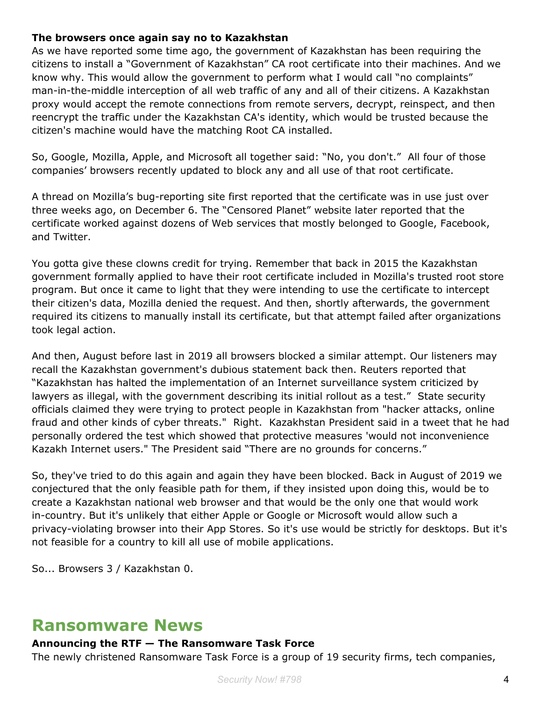#### **The browsers once again say no to Kazakhstan**

As we have reported some time ago, the government of Kazakhstan has been requiring the citizens to install a "Government of Kazakhstan" CA root certificate into their machines. And we know why. This would allow the government to perform what I would call "no complaints" man-in-the-middle interception of all web traffic of any and all of their citizens. A Kazakhstan proxy would accept the remote connections from remote servers, decrypt, reinspect, and then reencrypt the traffic under the Kazakhstan CA's identity, which would be trusted because the citizen's machine would have the matching Root CA installed.

So, Google, Mozilla, Apple, and Microsoft all together said: "No, you don't." All four of those companies' browsers recently updated to block any and all use of that root certificate.

A thread on Mozilla's bug-reporting site first reported that the certificate was in use just over three weeks ago, on December 6. The "Censored Planet" website later reported that the certificate worked against dozens of Web services that mostly belonged to Google, Facebook, and Twitter.

You gotta give these clowns credit for trying. Remember that back in 2015 the Kazakhstan government formally applied to have their root certificate included in Mozilla's trusted root store program. But once it came to light that they were intending to use the certificate to intercept their citizen's data, Mozilla denied the request. And then, shortly afterwards, the government required its citizens to manually install its certificate, but that attempt failed after organizations took legal action.

And then, August before last in 2019 all browsers blocked a similar attempt. Our listeners may recall the Kazakhstan government's dubious statement back then. Reuters reported that "Kazakhstan has halted the implementation of an Internet surveillance system criticized by lawyers as illegal, with the government describing its initial rollout as a test." State security officials claimed they were trying to protect people in Kazakhstan from "hacker attacks, online fraud and other kinds of cyber threats." Right. Kazakhstan President said in a tweet that he had personally ordered the test which showed that protective measures 'would not inconvenience Kazakh Internet users." The President said "There are no grounds for concerns."

So, they've tried to do this again and again they have been blocked. Back in August of 2019 we conjectured that the only feasible path for them, if they insisted upon doing this, would be to create a Kazakhstan national web browser and that would be the only one that would work in-country. But it's unlikely that either Apple or Google or Microsoft would allow such a privacy-violating browser into their App Stores. So it's use would be strictly for desktops. But it's not feasible for a country to kill all use of mobile applications.

So... Browsers 3 / Kazakhstan 0.

### **Ransomware News**

#### **Announcing the RTF — The Ransomware Task Force**

The newly christened Ransomware Task Force is a group of 19 security firms, tech companies,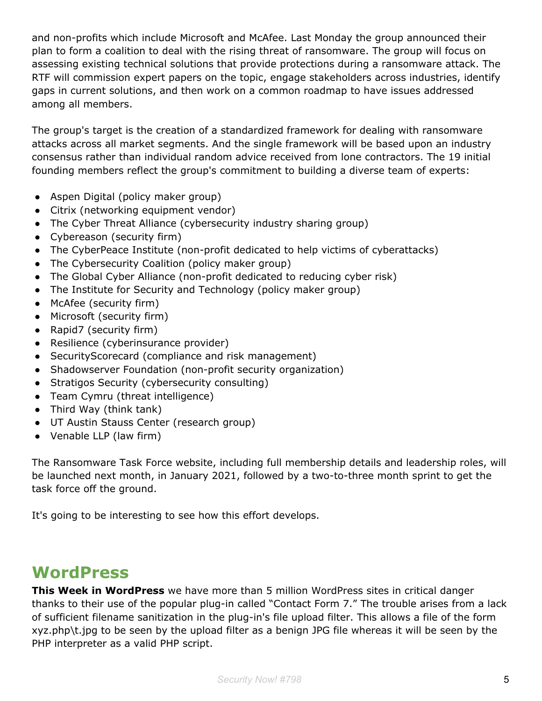and non-profits which include Microsoft and McAfee. Last Monday the group announced their plan to form a coalition to deal with the rising threat of ransomware. The group will focus on assessing existing technical solutions that provide protections during a ransomware attack. The RTF will commission expert papers on the topic, engage stakeholders across industries, identify gaps in current solutions, and then work on a common roadmap to have issues addressed among all members.

The group's target is the creation of a standardized framework for dealing with ransomware attacks across all market segments. And the single framework will be based upon an industry consensus rather than individual random advice received from lone contractors. The 19 initial founding members reflect the group's commitment to building a diverse team of experts:

- Aspen Digital (policy maker group)
- Citrix (networking equipment vendor)
- The Cyber Threat Alliance (cybersecurity industry sharing group)
- Cybereason (security firm)
- The CyberPeace Institute (non-profit dedicated to help victims of cyberattacks)
- The Cybersecurity Coalition (policy maker group)
- The Global Cyber Alliance (non-profit dedicated to reducing cyber risk)
- The Institute for Security and Technology (policy maker group)
- McAfee (security firm)
- Microsoft (security firm)
- Rapid7 (security firm)
- Resilience (cyberinsurance provider)
- SecurityScorecard (compliance and risk management)
- Shadowserver Foundation (non-profit security organization)
- Stratigos Security (cybersecurity consulting)
- Team Cymru (threat intelligence)
- Third Way (think tank)
- UT Austin Stauss Center (research group)
- Venable LLP (law firm)

The Ransomware Task Force website, including full membership details and leadership roles, will be launched next month, in January 2021, followed by a two-to-three month sprint to get the task force off the ground.

It's going to be interesting to see how this effort develops.

### **WordPress**

**This Week in WordPress** we have more than 5 million WordPress sites in critical danger thanks to their use of the popular plug-in called "Contact Form 7." The trouble arises from a lack of sufficient filename sanitization in the plug-in's file upload filter. This allows a file of the form xyz.php\t.jpg to be seen by the upload filter as a benign JPG file whereas it will be seen by the PHP interpreter as a valid PHP script.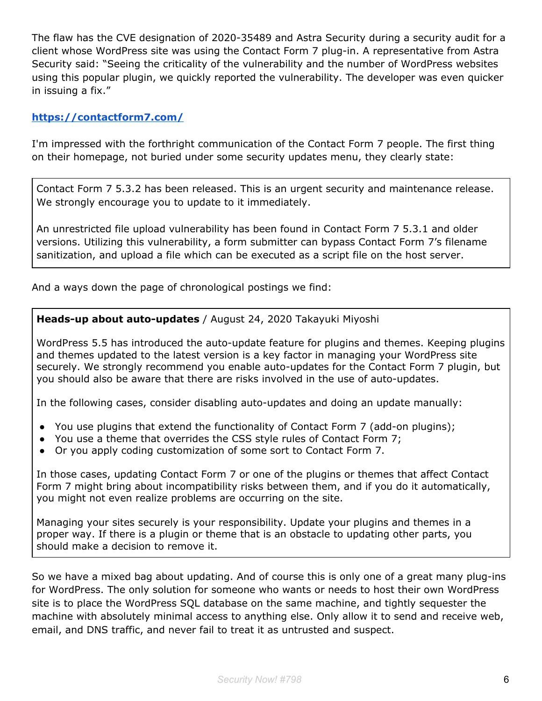The flaw has the CVE designation of 2020-35489 and Astra Security during a security audit for a client whose WordPress site was using the Contact Form 7 plug-in. A representative from Astra Security said: "Seeing the criticality of the vulnerability and the number of WordPress websites using this popular plugin, we quickly reported the vulnerability. The developer was even quicker in issuing a fix."

#### **<https://contactform7.com/>**

I'm impressed with the forthright communication of the Contact Form 7 people. The first thing on their homepage, not buried under some security updates menu, they clearly state:

Contact Form 7 5.3.2 has been released. This is an urgent security and maintenance release. We strongly encourage you to update to it immediately.

An unrestricted file upload vulnerability has been found in Contact Form 7 5.3.1 and older versions. Utilizing this vulnerability, a form submitter can bypass Contact Form 7's filename sanitization, and upload a file which can be executed as a script file on the host server.

And a ways down the page of chronological postings we find:

#### **Heads-up about auto-updates** / August 24, 2020 Takayuki Miyoshi

WordPress 5.5 has introduced the auto-update feature for plugins and themes. Keeping plugins and themes updated to the latest version is a key factor in managing your WordPress site securely. We strongly recommend you enable auto-updates for the Contact Form 7 plugin, but you should also be aware that there are risks involved in the use of auto-updates.

In the following cases, consider disabling auto-updates and doing an update manually:

- You use plugins that extend the functionality of Contact Form 7 (add-on plugins);
- You use a theme that overrides the CSS style rules of Contact Form 7;
- Or you apply coding customization of some sort to Contact Form 7.

In those cases, updating Contact Form 7 or one of the plugins or themes that affect Contact Form 7 might bring about incompatibility risks between them, and if you do it automatically, you might not even realize problems are occurring on the site.

Managing your sites securely is your responsibility. Update your plugins and themes in a proper way. If there is a plugin or theme that is an obstacle to updating other parts, you should make a decision to remove it.

So we have a mixed bag about updating. And of course this is only one of a great many plug-ins for WordPress. The only solution for someone who wants or needs to host their own WordPress site is to place the WordPress SQL database on the same machine, and tightly sequester the machine with absolutely minimal access to anything else. Only allow it to send and receive web, email, and DNS traffic, and never fail to treat it as untrusted and suspect.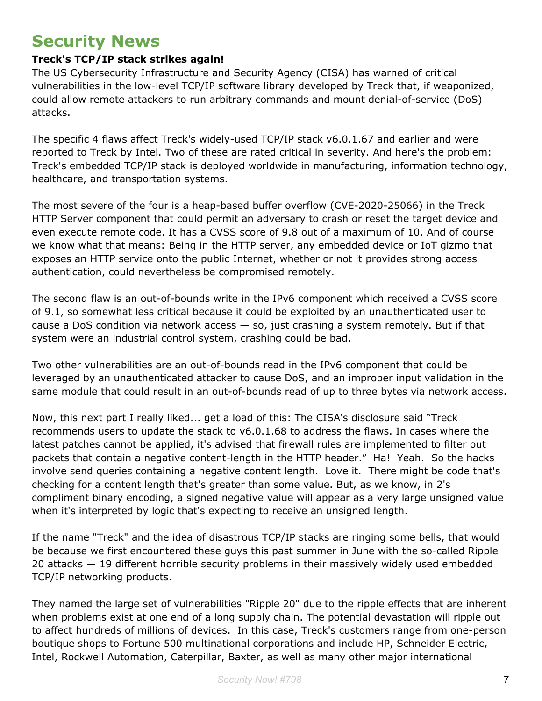### **Security News**

### **Treck's TCP/IP stack strikes again!**

The US Cybersecurity Infrastructure and Security Agency (CISA) has warned of critical vulnerabilities in the low-level TCP/IP software library developed by Treck that, if weaponized, could allow remote attackers to run arbitrary commands and mount denial-of-service (DoS) attacks.

The specific 4 flaws affect Treck's widely-used TCP/IP stack v6.0.1.67 and earlier and were reported to Treck by Intel. Two of these are rated critical in severity. And here's the problem: Treck's embedded TCP/IP stack is deployed worldwide in manufacturing, information technology, healthcare, and transportation systems.

The most severe of the four is a heap-based buffer overflow (CVE-2020-25066) in the Treck HTTP Server component that could permit an adversary to crash or reset the target device and even execute remote code. It has a CVSS score of 9.8 out of a maximum of 10. And of course we know what that means: Being in the HTTP server, any embedded device or IoT gizmo that exposes an HTTP service onto the public Internet, whether or not it provides strong access authentication, could nevertheless be compromised remotely.

The second flaw is an out-of-bounds write in the IPv6 component which received a CVSS score of 9.1, so somewhat less critical because it could be exploited by an unauthenticated user to cause a DoS condition via network access  $-$  so, just crashing a system remotely. But if that system were an industrial control system, crashing could be bad.

Two other vulnerabilities are an out-of-bounds read in the IPv6 component that could be leveraged by an unauthenticated attacker to cause DoS, and an improper input validation in the same module that could result in an out-of-bounds read of up to three bytes via network access.

Now, this next part I really liked... get a load of this: The CISA's disclosure said "Treck recommends users to update the stack to v6.0.1.68 to address the flaws. In cases where the latest patches cannot be applied, it's advised that firewall rules are implemented to filter out packets that contain a negative content-length in the HTTP header." Ha! Yeah. So the hacks involve send queries containing a negative content length. Love it. There might be code that's checking for a content length that's greater than some value. But, as we know, in 2's compliment binary encoding, a signed negative value will appear as a very large unsigned value when it's interpreted by logic that's expecting to receive an unsigned length.

If the name "Treck" and the idea of disastrous TCP/IP stacks are ringing some bells, that would be because we first encountered these guys this past summer in June with the so-called Ripple 20 attacks — 19 different horrible security problems in their massively widely used embedded TCP/IP networking products.

They named the large set of vulnerabilities "Ripple 20" due to the ripple effects that are inherent when problems exist at one end of a long supply chain. The potential devastation will ripple out to affect hundreds of millions of devices. In this case, Treck's customers range from one-person boutique shops to Fortune 500 multinational corporations and include HP, Schneider Electric, Intel, Rockwell Automation, Caterpillar, Baxter, as well as many other major international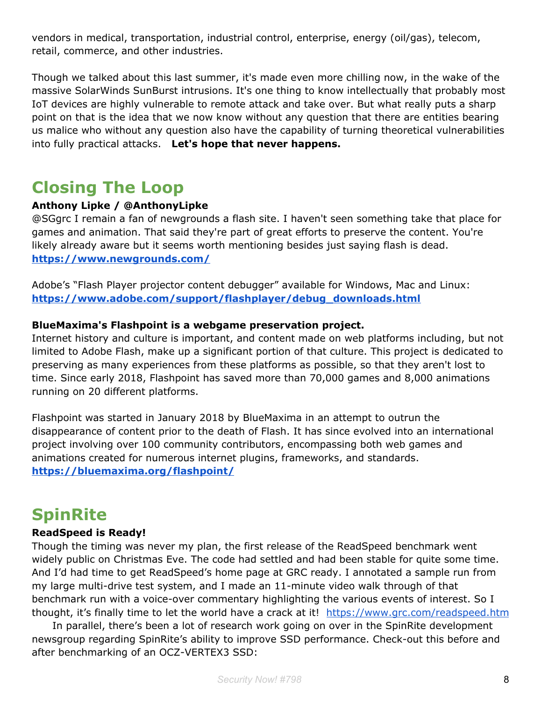vendors in medical, transportation, industrial control, enterprise, energy (oil/gas), telecom, retail, commerce, and other industries.

Though we talked about this last summer, it's made even more chilling now, in the wake of the massive SolarWinds SunBurst intrusions. It's one thing to know intellectually that probably most IoT devices are highly vulnerable to remote attack and take over. But what really puts a sharp point on that is the idea that we now know without any question that there are entities bearing us malice who without any question also have the capability of turning theoretical vulnerabilities into fully practical attacks. **Let's hope that never happens.**

### **Closing The Loop**

### **Anthony Lipke / @AnthonyLipke**

@SGgrc I remain a fan of newgrounds a flash site. I haven't seen something take that place for games and animation. That said they're part of great efforts to preserve the content. You're likely already aware but it seems worth mentioning besides just saying flash is dead. **<https://www.newgrounds.com/>**

Adobe's "Flash Player projector content debugger" available for Windows, Mac and Linux: **[https://www.adobe.com/support/flashplayer/debug\\_downloads.html](https://www.adobe.com/support/flashplayer/debug_downloads.html)**

### **BlueMaxima's Flashpoint is a webgame preservation project.**

Internet history and culture is important, and content made on web platforms including, but not limited to Adobe Flash, make up a significant portion of that culture. This project is dedicated to preserving as many experiences from these platforms as possible, so that they aren't lost to time. Since early 2018, Flashpoint has saved more than 70,000 games and 8,000 animations running on 20 different platforms.

Flashpoint was started in January 2018 by BlueMaxima in an attempt to outrun the disappearance of content prior to the death of Flash. It has since evolved into an international project involving over 100 community contributors, encompassing both web games and animations created for numerous internet plugins, frameworks, and standards. **<https://bluemaxima.org/flashpoint/>**

### **SpinRite**

### **ReadSpeed is Ready!**

Though the timing was never my plan, the first release of the ReadSpeed benchmark went widely public on Christmas Eve. The code had settled and had been stable for quite some time. And I'd had time to get ReadSpeed's home page at GRC ready. I annotated a sample run from my large multi-drive test system, and I made an 11-minute video walk through of that benchmark run with a voice-over commentary highlighting the various events of interest. So I thought, it's finally time to let the world have a crack at it! <https://www.grc.com/readspeed.htm>

In parallel, there's been a lot of research work going on over in the SpinRite development newsgroup regarding SpinRite's ability to improve SSD performance. Check-out this before and after benchmarking of an OCZ-VERTEX3 SSD: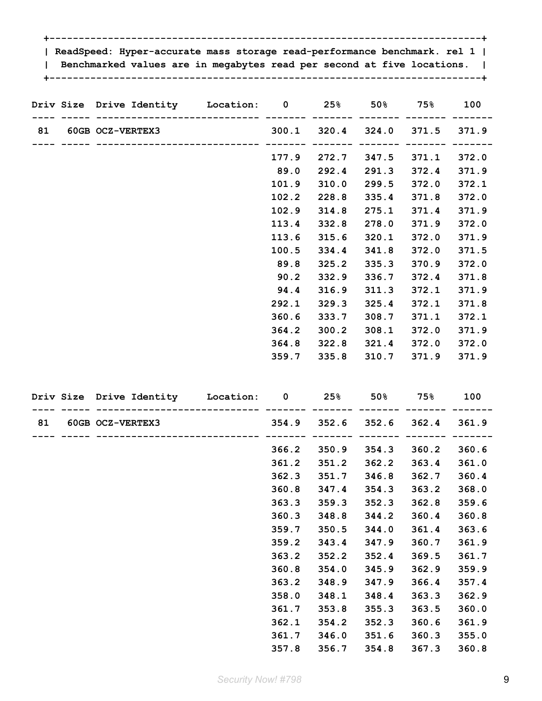**+--------------------------------------------------------------------------+**

**| ReadSpeed: Hyper-accurate mass storage read-performance benchmark. rel 1 |**

**| Benchmarked values are in megabytes read per second at five locations. |**

**+--------------------------------------------------------------------------+**

|  | Driv Size Drive Identity Location: 0 25% 50% 75% 100<br>______ ___________________________ |       |                               |       |             |       |
|--|--------------------------------------------------------------------------------------------|-------|-------------------------------|-------|-------------|-------|
|  | 81 60GB OCZ-VERTEX3                                                                        |       | 300.1 320.4 324.0 371.5 371.9 |       |             |       |
|  |                                                                                            |       | 177.9 272.7 347.5 371.1 372.0 |       |             |       |
|  |                                                                                            |       | 89.0 292.4 291.3 372.4 371.9  |       |             |       |
|  |                                                                                            |       | 101.9 310.0 299.5 372.0 372.1 |       |             |       |
|  |                                                                                            |       | 102.2 228.8 335.4 371.8 372.0 |       |             |       |
|  |                                                                                            |       | 102.9 314.8                   | 275.1 | 371.4 371.9 |       |
|  |                                                                                            | 113.4 | 332.8                         | 278.0 | 371.9       | 372.0 |
|  |                                                                                            |       | 113.6 315.6 320.1 372.0       |       |             | 371.9 |
|  |                                                                                            |       | 100.5 334.4                   | 341.8 | 372.0 371.5 |       |
|  |                                                                                            | 89.8  | 325.2                         | 335.3 | 370.9       | 372.0 |
|  |                                                                                            | 90.2  | 332.9                         | 336.7 | 372.4       | 371.8 |
|  |                                                                                            |       | 94.4 316.9                    | 311.3 | 372.1       | 371.9 |
|  |                                                                                            |       | 292.1 329.3 325.4 372.1 371.8 |       |             |       |
|  |                                                                                            |       | 360.6 333.7                   | 308.7 | 371.1       | 372.1 |
|  |                                                                                            |       | 364.2 300.2 308.1 372.0 371.9 |       |             |       |
|  |                                                                                            |       | 364.8 322.8 321.4 372.0 372.0 |       |             |       |
|  |                                                                                            |       | 359.7 335.8 310.7 371.9 371.9 |       |             |       |
|  |                                                                                            |       |                               |       |             |       |
|  | Driv Size Drive Identity Location: 0 25% 50% 75% 100                                       |       |                               |       |             |       |
|  | 81 60GB OCZ-VERTEX3                                                                        |       | 354.9 352.6 352.6 362.4 361.9 |       |             |       |
|  |                                                                                            |       | 366.2 350.9 354.3 360.2 360.6 |       |             |       |
|  |                                                                                            |       | 361.2 351.2 362.2 363.4 361.0 |       |             |       |
|  |                                                                                            |       | 362.3 351.7 346.8             |       | 362.7 360.4 |       |
|  |                                                                                            |       |                               |       |             |       |

| 360.8 | 347.4 | 354.3 | 363.2 | 368.0 |
|-------|-------|-------|-------|-------|
| 363.3 | 359.3 | 352.3 | 362.8 | 359.6 |
| 360.3 | 348.8 | 344.2 | 360.4 | 360.8 |
| 359.7 | 350.5 | 344.0 | 361.4 | 363.6 |
| 359.2 | 343.4 | 347.9 | 360.7 | 361.9 |
| 363.2 | 352.2 | 352.4 | 369.5 | 361.7 |
| 360.8 | 354.0 | 345.9 | 362.9 | 359.9 |
| 363.2 | 348.9 | 347.9 | 366.4 | 357.4 |
| 358.0 | 348.1 | 348.4 | 363.3 | 362.9 |
| 361.7 | 353.8 | 355.3 | 363.5 | 360.0 |
| 362.1 | 354.2 | 352.3 | 360.6 | 361.9 |
| 361.7 | 346.0 | 351.6 | 360.3 | 355.0 |
| 357.8 | 356.7 | 354.8 | 367.3 | 360.8 |
|       |       |       |       |       |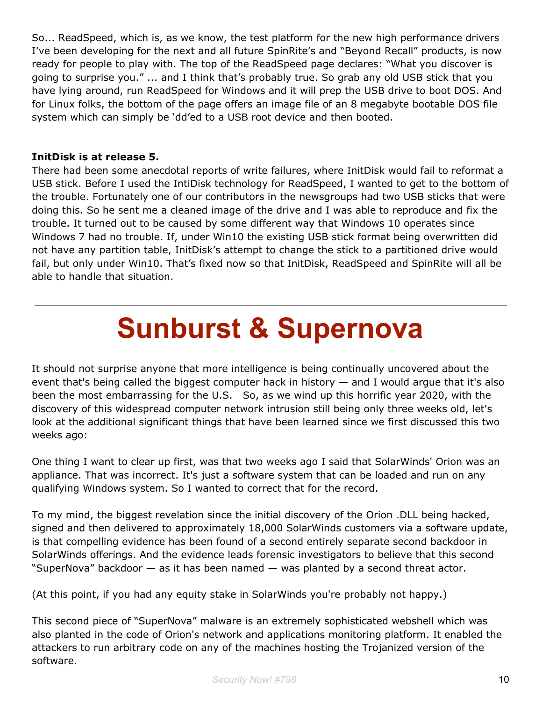So... ReadSpeed, which is, as we know, the test platform for the new high performance drivers I've been developing for the next and all future SpinRite's and "Beyond Recall" products, is now ready for people to play with. The top of the ReadSpeed page declares: "What you discover is going to surprise you." ... and I think that's probably true. So grab any old USB stick that you have lying around, run ReadSpeed for Windows and it will prep the USB drive to boot DOS. And for Linux folks, the bottom of the page offers an image file of an 8 megabyte bootable DOS file system which can simply be 'dd'ed to a USB root device and then booted.

#### **InitDisk is at release 5.**

There had been some anecdotal reports of write failures, where InitDisk would fail to reformat a USB stick. Before I used the IntiDisk technology for ReadSpeed, I wanted to get to the bottom of the trouble. Fortunately one of our contributors in the newsgroups had two USB sticks that were doing this. So he sent me a cleaned image of the drive and I was able to reproduce and fix the trouble. It turned out to be caused by some different way that Windows 10 operates since Windows 7 had no trouble. If, under Win10 the existing USB stick format being overwritten did not have any partition table, InitDisk's attempt to change the stick to a partitioned drive would fail, but only under Win10. That's fixed now so that InitDisk, ReadSpeed and SpinRite will all be able to handle that situation.

# **Sunburst & Supernova**

It should not surprise anyone that more intelligence is being continually uncovered about the event that's being called the biggest computer hack in history — and I would argue that it's also been the most embarrassing for the U.S. So, as we wind up this horrific year 2020, with the discovery of this widespread computer network intrusion still being only three weeks old, let's look at the additional significant things that have been learned since we first discussed this two weeks ago:

One thing I want to clear up first, was that two weeks ago I said that SolarWinds' Orion was an appliance. That was incorrect. It's just a software system that can be loaded and run on any qualifying Windows system. So I wanted to correct that for the record.

To my mind, the biggest revelation since the initial discovery of the Orion .DLL being hacked, signed and then delivered to approximately 18,000 SolarWinds customers via a software update, is that compelling evidence has been found of a second entirely separate second backdoor in SolarWinds offerings. And the evidence leads forensic investigators to believe that this second "SuperNova" backdoor — as it has been named — was planted by a second threat actor.

(At this point, if you had any equity stake in SolarWinds you're probably not happy.)

This second piece of "SuperNova" malware is an extremely sophisticated webshell which was also planted in the code of Orion's network and applications monitoring platform. It enabled the attackers to run arbitrary code on any of the machines hosting the Trojanized version of the software.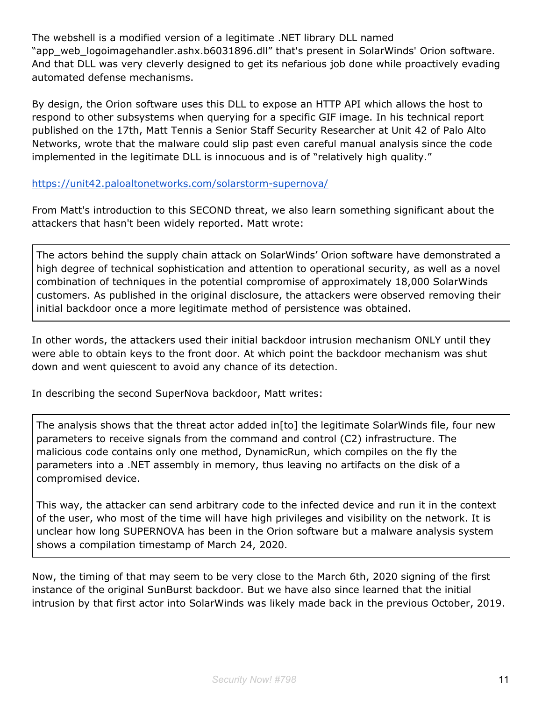The webshell is a modified version of a legitimate .NET library DLL named "app\_web\_logoimagehandler.ashx.b6031896.dll" that's present in SolarWinds' Orion software. And that DLL was very cleverly designed to get its nefarious job done while proactively evading automated defense mechanisms.

By design, the Orion software uses this DLL to expose an HTTP API which allows the host to respond to other subsystems when querying for a specific GIF image. In his technical report published on the 17th, Matt Tennis a Senior Staff Security Researcher at Unit 42 of Palo Alto Networks, wrote that the malware could slip past even careful manual analysis since the code implemented in the legitimate DLL is innocuous and is of "relatively high quality."

### <https://unit42.paloaltonetworks.com/solarstorm-supernova/>

From Matt's introduction to this SECOND threat, we also learn something significant about the attackers that hasn't been widely reported. Matt wrote:

The actors behind the supply chain attack on SolarWinds' Orion software have demonstrated a high degree of technical sophistication and attention to operational security, as well as a novel combination of techniques in the potential compromise of approximately 18,000 SolarWinds customers. As published in the original disclosure, the attackers were observed removing their initial backdoor once a more legitimate method of persistence was obtained.

In other words, the attackers used their initial backdoor intrusion mechanism ONLY until they were able to obtain keys to the front door. At which point the backdoor mechanism was shut down and went quiescent to avoid any chance of its detection.

In describing the second SuperNova backdoor, Matt writes:

The analysis shows that the threat actor added in[to] the legitimate SolarWinds file, four new parameters to receive signals from the command and control (C2) infrastructure. The malicious code contains only one method, DynamicRun, which compiles on the fly the parameters into a .NET assembly in memory, thus leaving no artifacts on the disk of a compromised device.

This way, the attacker can send arbitrary code to the infected device and run it in the context of the user, who most of the time will have high privileges and visibility on the network. It is unclear how long SUPERNOVA has been in the Orion software but a malware analysis system shows a compilation timestamp of March 24, 2020.

Now, the timing of that may seem to be very close to the March 6th, 2020 signing of the first instance of the original SunBurst backdoor. But we have also since learned that the initial intrusion by that first actor into SolarWinds was likely made back in the previous October, 2019.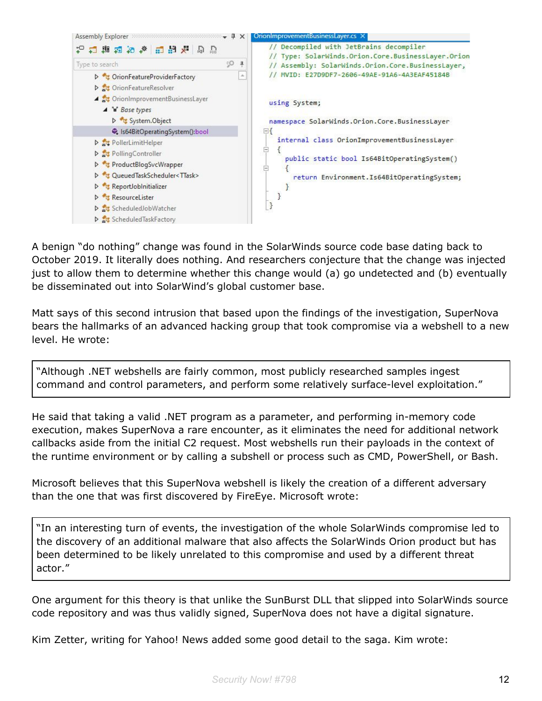

A benign "do nothing" change was found in the SolarWinds source code base dating back to October 2019. It literally does nothing. And researchers conjecture that the change was injected just to allow them to determine whether this change would (a) go undetected and (b) eventually be disseminated out into SolarWind's global customer base.

Matt says of this second intrusion that based upon the findings of the investigation, SuperNova bears the hallmarks of an advanced hacking group that took compromise via a webshell to a new level. He wrote:

"Although .NET webshells are fairly common, most publicly researched samples ingest command and control parameters, and perform some relatively surface-level exploitation."

He said that taking a valid .NET program as a parameter, and performing in-memory code execution, makes SuperNova a rare encounter, as it eliminates the need for additional network callbacks aside from the initial C2 request. Most webshells run their payloads in the context of the runtime environment or by calling a subshell or process such as CMD, PowerShell, or Bash.

Microsoft believes that this SuperNova webshell is likely the creation of a different adversary than the one that was first discovered by FireEye. Microsoft wrote:

"In an interesting turn of events, the investigation of the whole SolarWinds compromise led to the discovery of an additional malware that also affects the SolarWinds Orion product but has been determined to be likely unrelated to this compromise and used by a different threat actor."

One argument for this theory is that unlike the SunBurst DLL that slipped into SolarWinds source code repository and was thus validly signed, SuperNova does not have a digital signature.

Kim Zetter, writing for Yahoo! News added some good detail to the saga. Kim wrote: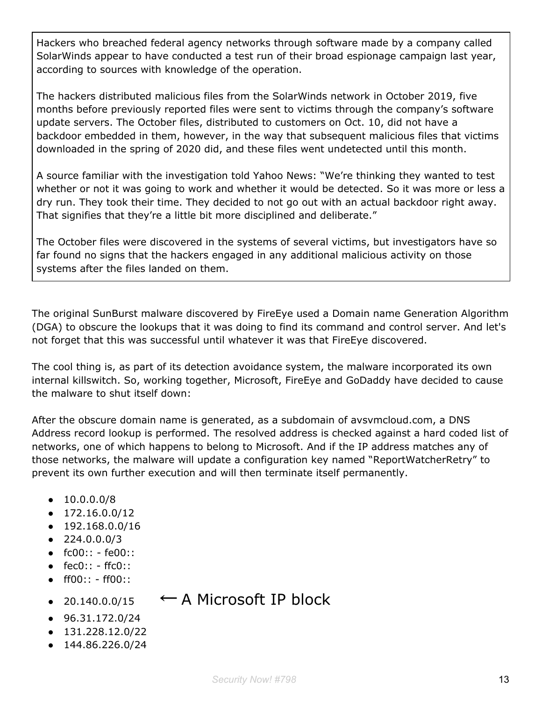Hackers who breached federal agency networks through software made by a company called SolarWinds appear to have conducted a test run of their broad espionage campaign last year, according to sources with knowledge of the operation.

The hackers distributed malicious files from the SolarWinds network in October 2019, five months before previously reported files were sent to victims through the company's software update servers. The October files, distributed to customers on Oct. 10, did not have a backdoor embedded in them, however, in the way that subsequent malicious files that victims downloaded in the spring of 2020 did, and these files went undetected until this month.

A source familiar with the investigation told Yahoo News: "We're thinking they wanted to test whether or not it was going to work and whether it would be detected. So it was more or less a dry run. They took their time. They decided to not go out with an actual backdoor right away. That signifies that they're a little bit more disciplined and deliberate."

The October files were discovered in the systems of several victims, but investigators have so far found no signs that the hackers engaged in any additional malicious activity on those systems after the files landed on them.

The original SunBurst malware discovered by FireEye used a Domain name Generation Algorithm (DGA) to obscure the lookups that it was doing to find its command and control server. And let's not forget that this was successful until whatever it was that FireEye discovered.

The cool thing is, as part of its detection avoidance system, the malware incorporated its own internal killswitch. So, working together, Microsoft, FireEye and GoDaddy have decided to cause the malware to shut itself down:

After the obscure domain name is generated, as a subdomain of avsvmcloud.com, a DNS Address record lookup is performed. The resolved address is checked against a hard coded list of networks, one of which happens to belong to Microsoft. And if the IP address matches any of those networks, the malware will update a configuration key named "ReportWatcherRetry" to prevent its own further execution and will then terminate itself permanently.

- 10.0.0.0/8
- $\bullet$  172.16.0.0/12
- 192.168.0.0/16
- 224.0.0.0/3
- fc00:: fe00::
- $\bullet$  fec0:: ffc0::
- ff00:: ff00::
- 20.140.0.0/15 ← A Microsoft IP block
- 96.31.172.0/24
- 131.228.12.0/22
- 144.86.226.0/24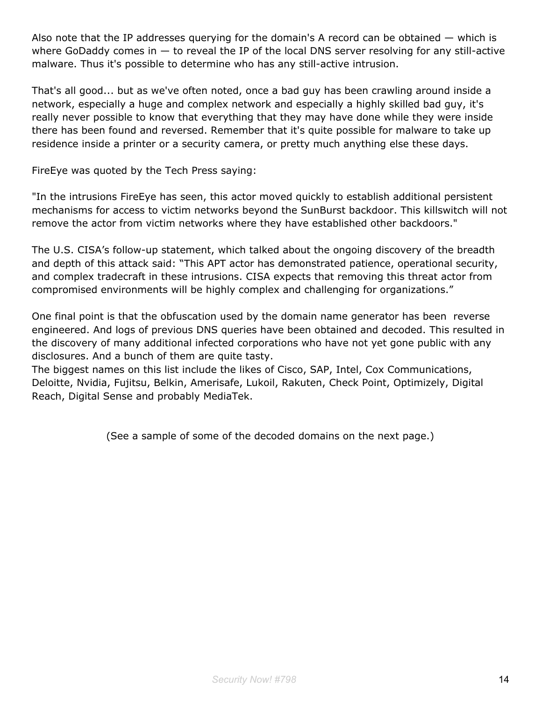Also note that the IP addresses querying for the domain's A record can be obtained  $-$  which is where GoDaddy comes in  $-$  to reveal the IP of the local DNS server resolving for any still-active malware. Thus it's possible to determine who has any still-active intrusion.

That's all good... but as we've often noted, once a bad guy has been crawling around inside a network, especially a huge and complex network and especially a highly skilled bad guy, it's really never possible to know that everything that they may have done while they were inside there has been found and reversed. Remember that it's quite possible for malware to take up residence inside a printer or a security camera, or pretty much anything else these days.

FireEye was quoted by the Tech Press saying:

"In the intrusions FireEye has seen, this actor moved quickly to establish additional persistent mechanisms for access to victim networks beyond the SunBurst backdoor. This killswitch will not remove the actor from victim networks where they have established other backdoors."

The U.S. CISA's follow-up statement, which talked about the ongoing discovery of the breadth and depth of this attack said: "This APT actor has demonstrated patience, operational security, and complex tradecraft in these intrusions. CISA expects that removing this threat actor from compromised environments will be highly complex and challenging for organizations."

One final point is that the obfuscation used by the domain name generator has been reverse engineered. And logs of previous DNS queries have been obtained and decoded. This resulted in the discovery of many additional infected corporations who have not yet gone public with any disclosures. And a bunch of them are quite tasty.

The biggest names on this list include the likes of Cisco, SAP, Intel, Cox Communications, Deloitte, Nvidia, Fujitsu, Belkin, Amerisafe, Lukoil, Rakuten, Check Point, Optimizely, Digital Reach, Digital Sense and probably MediaTek.

(See a sample of some of the decoded domains on the next page.)